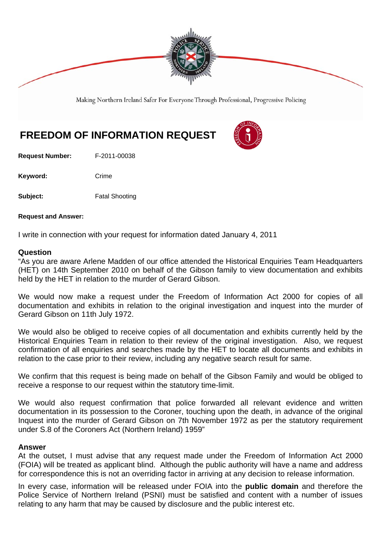

Making Northern Ireland Safer For Everyone Through Professional, Progressive Policing

# **FREEDOM OF INFORMATION REQUEST**

**Request Number:** F-2011-00038

Keyword: Crime

**Subject:** Fatal Shooting

**Request and Answer:** 

I write in connection with your request for information dated January 4, 2011

#### **Question**

"As you are aware Arlene Madden of our office attended the Historical Enquiries Team Headquarters (HET) on 14th September 2010 on behalf of the Gibson family to view documentation and exhibits held by the HET in relation to the murder of Gerard Gibson.

We would now make a request under the Freedom of Information Act 2000 for copies of all documentation and exhibits in relation to the original investigation and inquest into the murder of Gerard Gibson on 11th July 1972.

We would also be obliged to receive copies of all documentation and exhibits currently held by the Historical Enquiries Team in relation to their review of the original investigation. Also, we request confirmation of all enquiries and searches made by the HET to locate all documents and exhibits in relation to the case prior to their review, including any negative search result for same.

We confirm that this request is being made on behalf of the Gibson Family and would be obliged to receive a response to our request within the statutory time-limit.

We would also request confirmation that police forwarded all relevant evidence and written documentation in its possession to the Coroner, touching upon the death, in advance of the original Inquest into the murder of Gerard Gibson on 7th November 1972 as per the statutory requirement under S.8 of the Coroners Act (Northern Ireland) 1959"

#### **Answer**

At the outset, I must advise that any request made under the Freedom of Information Act 2000 (FOIA) will be treated as applicant blind. Although the public authority will have a name and address for correspondence this is not an overriding factor in arriving at any decision to release information.

In every case, information will be released under FOIA into the **public domain** and therefore the Police Service of Northern Ireland (PSNI) must be satisfied and content with a number of issues relating to any harm that may be caused by disclosure and the public interest etc.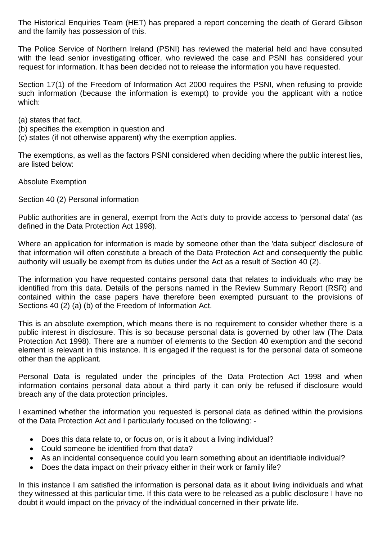The Historical Enquiries Team (HET) has prepared a report concerning the death of Gerard Gibson and the family has possession of this.

The Police Service of Northern Ireland (PSNI) has reviewed the material held and have consulted with the lead senior investigating officer, who reviewed the case and PSNI has considered your request for information. It has been decided not to release the information you have requested.

Section 17(1) of the Freedom of Information Act 2000 requires the PSNI, when refusing to provide such information (because the information is exempt) to provide you the applicant with a notice which:

- (a) states that fact,
- (b) specifies the exemption in question and
- (c) states (if not otherwise apparent) why the exemption applies.

The exemptions, as well as the factors PSNI considered when deciding where the public interest lies, are listed below:

Absolute Exemption

Section 40 (2) Personal information

Public authorities are in general, exempt from the Act's duty to provide access to 'personal data' (as defined in the Data Protection Act 1998).

Where an application for information is made by someone other than the 'data subject' disclosure of that information will often constitute a breach of the Data Protection Act and consequently the public authority will usually be exempt from its duties under the Act as a result of Section 40 (2).

The information you have requested contains personal data that relates to individuals who may be identified from this data. Details of the persons named in the Review Summary Report (RSR) and contained within the case papers have therefore been exempted pursuant to the provisions of Sections 40 (2) (a) (b) of the Freedom of Information Act.

This is an absolute exemption, which means there is no requirement to consider whether there is a public interest in disclosure. This is so because personal data is governed by other law (The Data Protection Act 1998). There are a number of elements to the Section 40 exemption and the second element is relevant in this instance. It is engaged if the request is for the personal data of someone other than the applicant.

Personal Data is regulated under the principles of the Data Protection Act 1998 and when information contains personal data about a third party it can only be refused if disclosure would breach any of the data protection principles.

I examined whether the information you requested is personal data as defined within the provisions of the Data Protection Act and I particularly focused on the following: -

- Does this data relate to, or focus on, or is it about a living individual?
- Could someone be identified from that data?
- As an incidental consequence could you learn something about an identifiable individual?
- Does the data impact on their privacy either in their work or family life?

In this instance I am satisfied the information is personal data as it about living individuals and what they witnessed at this particular time. If this data were to be released as a public disclosure I have no doubt it would impact on the privacy of the individual concerned in their private life.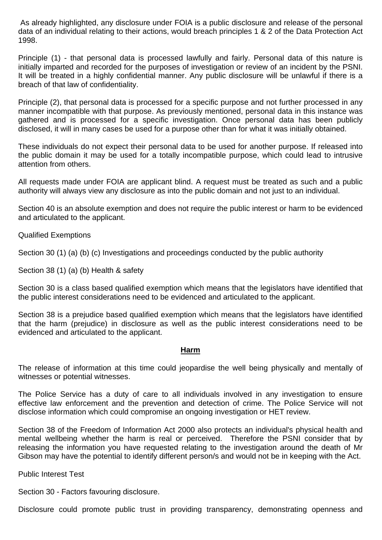As already highlighted, any disclosure under FOIA is a public disclosure and release of the personal data of an individual relating to their actions, would breach principles 1 & 2 of the Data Protection Act 1998.

Principle (1) - that personal data is processed lawfully and fairly. Personal data of this nature is initially imparted and recorded for the purposes of investigation or review of an incident by the PSNI. It will be treated in a highly confidential manner. Any public disclosure will be unlawful if there is a breach of that law of confidentiality.

Principle (2), that personal data is processed for a specific purpose and not further processed in any manner incompatible with that purpose. As previously mentioned, personal data in this instance was gathered and is processed for a specific investigation. Once personal data has been publicly disclosed, it will in many cases be used for a purpose other than for what it was initially obtained.

These individuals do not expect their personal data to be used for another purpose. If released into the public domain it may be used for a totally incompatible purpose, which could lead to intrusive attention from others.

All requests made under FOIA are applicant blind. A request must be treated as such and a public authority will always view any disclosure as into the public domain and not just to an individual.

Section 40 is an absolute exemption and does not require the public interest or harm to be evidenced and articulated to the applicant.

Qualified Exemptions

Section 30 (1) (a) (b) (c) Investigations and proceedings conducted by the public authority

Section 38 (1) (a) (b) Health & safety

Section 30 is a class based qualified exemption which means that the legislators have identified that the public interest considerations need to be evidenced and articulated to the applicant.

Section 38 is a prejudice based qualified exemption which means that the legislators have identified that the harm (prejudice) in disclosure as well as the public interest considerations need to be evidenced and articulated to the applicant.

#### **Harm**

The release of information at this time could jeopardise the well being physically and mentally of witnesses or potential witnesses.

The Police Service has a duty of care to all individuals involved in any investigation to ensure effective law enforcement and the prevention and detection of crime. The Police Service will not disclose information which could compromise an ongoing investigation or HET review.

Section 38 of the Freedom of Information Act 2000 also protects an individual's physical health and mental wellbeing whether the harm is real or perceived. Therefore the PSNI consider that by releasing the information you have requested relating to the investigation around the death of Mr Gibson may have the potential to identify different person/s and would not be in keeping with the Act.

Public Interest Test

Section 30 - Factors favouring disclosure.

Disclosure could promote public trust in providing transparency, demonstrating openness and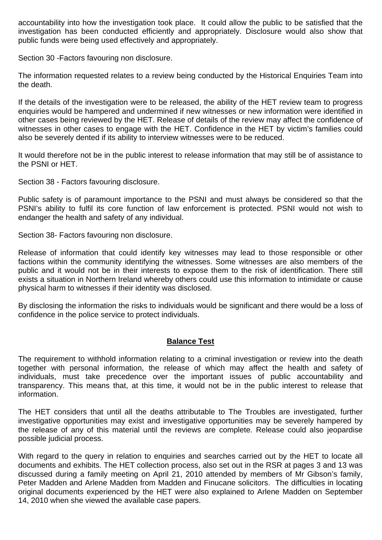accountability into how the investigation took place. It could allow the public to be satisfied that the investigation has been conducted efficiently and appropriately. Disclosure would also show that public funds were being used effectively and appropriately.

Section 30 -Factors favouring non disclosure.

The information requested relates to a review being conducted by the Historical Enquiries Team into the death.

If the details of the investigation were to be released, the ability of the HET review team to progress enquiries would be hampered and undermined if new witnesses or new information were identified in other cases being reviewed by the HET. Release of details of the review may affect the confidence of witnesses in other cases to engage with the HET. Confidence in the HET by victim's families could also be severely dented if its ability to interview witnesses were to be reduced.

It would therefore not be in the public interest to release information that may still be of assistance to the PSNI or HET.

Section 38 - Factors favouring disclosure.

Public safety is of paramount importance to the PSNI and must always be considered so that the PSNI's ability to fulfil its core function of law enforcement is protected. PSNI would not wish to endanger the health and safety of any individual.

Section 38- Factors favouring non disclosure.

Release of information that could identify key witnesses may lead to those responsible or other factions within the community identifying the witnesses. Some witnesses are also members of the public and it would not be in their interests to expose them to the risk of identification. There still exists a situation in Northern Ireland whereby others could use this information to intimidate or cause physical harm to witnesses if their identity was disclosed.

By disclosing the information the risks to individuals would be significant and there would be a loss of confidence in the police service to protect individuals.

## **Balance Test**

The requirement to withhold information relating to a criminal investigation or review into the death together with personal information, the release of which may affect the health and safety of individuals, must take precedence over the important issues of public accountability and transparency. This means that, at this time, it would not be in the public interest to release that information.

The HET considers that until all the deaths attributable to The Troubles are investigated, further investigative opportunities may exist and investigative opportunities may be severely hampered by the release of any of this material until the reviews are complete. Release could also jeopardise possible judicial process.

With regard to the query in relation to enquiries and searches carried out by the HET to locate all documents and exhibits. The HET collection process, also set out in the RSR at pages 3 and 13 was discussed during a family meeting on April 21, 2010 attended by members of Mr Gibson's family, Peter Madden and Arlene Madden from Madden and Finucane solicitors. The difficulties in locating original documents experienced by the HET were also explained to Arlene Madden on September 14, 2010 when she viewed the available case papers.